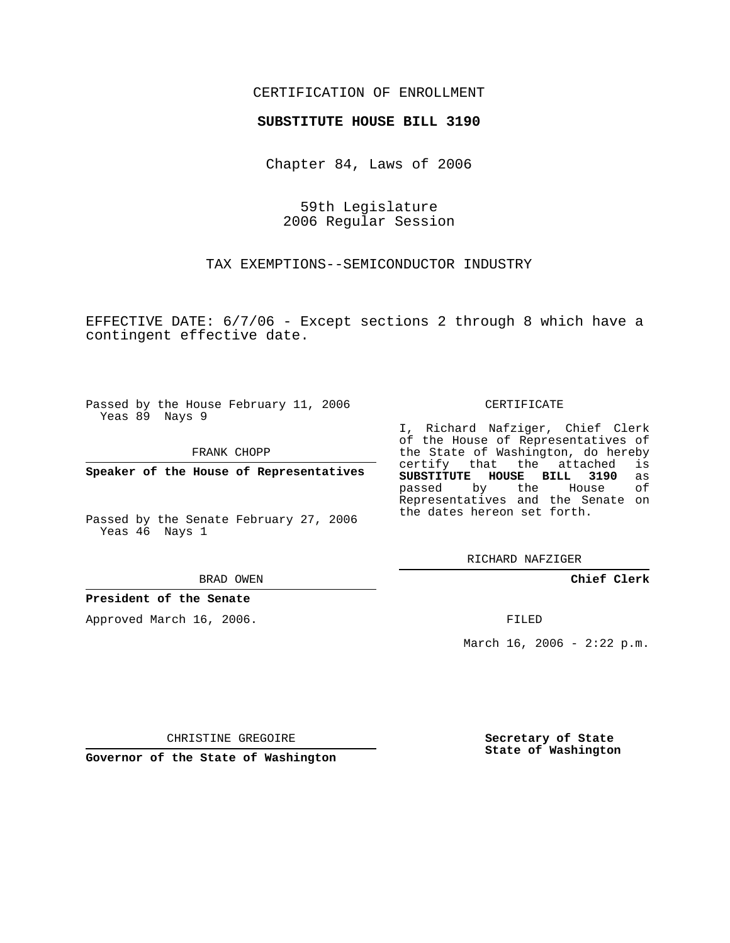## CERTIFICATION OF ENROLLMENT

## **SUBSTITUTE HOUSE BILL 3190**

Chapter 84, Laws of 2006

59th Legislature 2006 Regular Session

TAX EXEMPTIONS--SEMICONDUCTOR INDUSTRY

EFFECTIVE DATE: 6/7/06 - Except sections 2 through 8 which have a contingent effective date.

Passed by the House February 11, 2006 Yeas 89 Nays 9

FRANK CHOPP

**Speaker of the House of Representatives**

Passed by the Senate February 27, 2006 Yeas 46 Nays 1

BRAD OWEN

**President of the Senate**

Approved March 16, 2006.

CERTIFICATE

I, Richard Nafziger, Chief Clerk of the House of Representatives of the State of Washington, do hereby<br>certify that the attached is certify that the attached **SUBSTITUTE HOUSE BILL 3190** as passed by the House of Representatives and the Senate on the dates hereon set forth.

RICHARD NAFZIGER

**Chief Clerk**

FILED

March 16, 2006 -  $2:22$  p.m.

CHRISTINE GREGOIRE

**Governor of the State of Washington**

**Secretary of State State of Washington**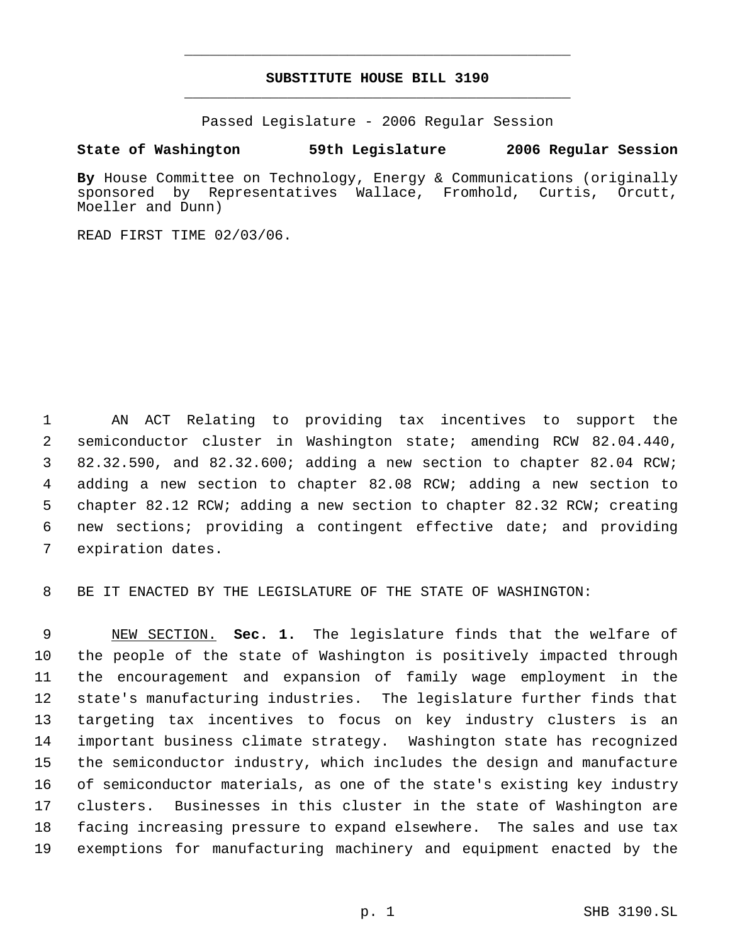## **SUBSTITUTE HOUSE BILL 3190** \_\_\_\_\_\_\_\_\_\_\_\_\_\_\_\_\_\_\_\_\_\_\_\_\_\_\_\_\_\_\_\_\_\_\_\_\_\_\_\_\_\_\_\_\_

\_\_\_\_\_\_\_\_\_\_\_\_\_\_\_\_\_\_\_\_\_\_\_\_\_\_\_\_\_\_\_\_\_\_\_\_\_\_\_\_\_\_\_\_\_

Passed Legislature - 2006 Regular Session

## **State of Washington 59th Legislature 2006 Regular Session**

**By** House Committee on Technology, Energy & Communications (originally sponsored by Representatives Wallace, Fromhold, Curtis, Orcutt, Moeller and Dunn)

READ FIRST TIME 02/03/06.

 AN ACT Relating to providing tax incentives to support the semiconductor cluster in Washington state; amending RCW 82.04.440, 82.32.590, and 82.32.600; adding a new section to chapter 82.04 RCW; adding a new section to chapter 82.08 RCW; adding a new section to chapter 82.12 RCW; adding a new section to chapter 82.32 RCW; creating new sections; providing a contingent effective date; and providing expiration dates.

BE IT ENACTED BY THE LEGISLATURE OF THE STATE OF WASHINGTON:

 NEW SECTION. **Sec. 1.** The legislature finds that the welfare of the people of the state of Washington is positively impacted through the encouragement and expansion of family wage employment in the state's manufacturing industries. The legislature further finds that targeting tax incentives to focus on key industry clusters is an important business climate strategy. Washington state has recognized the semiconductor industry, which includes the design and manufacture of semiconductor materials, as one of the state's existing key industry clusters. Businesses in this cluster in the state of Washington are facing increasing pressure to expand elsewhere. The sales and use tax exemptions for manufacturing machinery and equipment enacted by the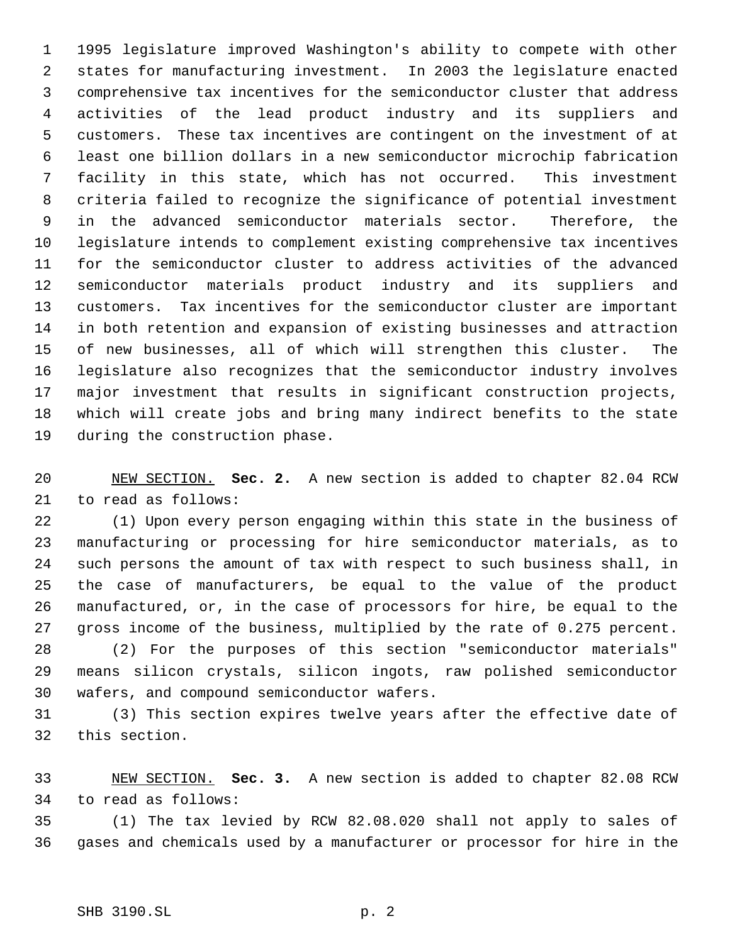1995 legislature improved Washington's ability to compete with other states for manufacturing investment. In 2003 the legislature enacted comprehensive tax incentives for the semiconductor cluster that address activities of the lead product industry and its suppliers and customers. These tax incentives are contingent on the investment of at least one billion dollars in a new semiconductor microchip fabrication facility in this state, which has not occurred. This investment criteria failed to recognize the significance of potential investment in the advanced semiconductor materials sector. Therefore, the legislature intends to complement existing comprehensive tax incentives for the semiconductor cluster to address activities of the advanced semiconductor materials product industry and its suppliers and customers. Tax incentives for the semiconductor cluster are important in both retention and expansion of existing businesses and attraction of new businesses, all of which will strengthen this cluster. The legislature also recognizes that the semiconductor industry involves major investment that results in significant construction projects, which will create jobs and bring many indirect benefits to the state during the construction phase.

 NEW SECTION. **Sec. 2.** A new section is added to chapter 82.04 RCW to read as follows:

 (1) Upon every person engaging within this state in the business of manufacturing or processing for hire semiconductor materials, as to such persons the amount of tax with respect to such business shall, in the case of manufacturers, be equal to the value of the product manufactured, or, in the case of processors for hire, be equal to the gross income of the business, multiplied by the rate of 0.275 percent. (2) For the purposes of this section "semiconductor materials" means silicon crystals, silicon ingots, raw polished semiconductor

wafers, and compound semiconductor wafers.

 (3) This section expires twelve years after the effective date of this section.

 NEW SECTION. **Sec. 3.** A new section is added to chapter 82.08 RCW to read as follows:

 (1) The tax levied by RCW 82.08.020 shall not apply to sales of gases and chemicals used by a manufacturer or processor for hire in the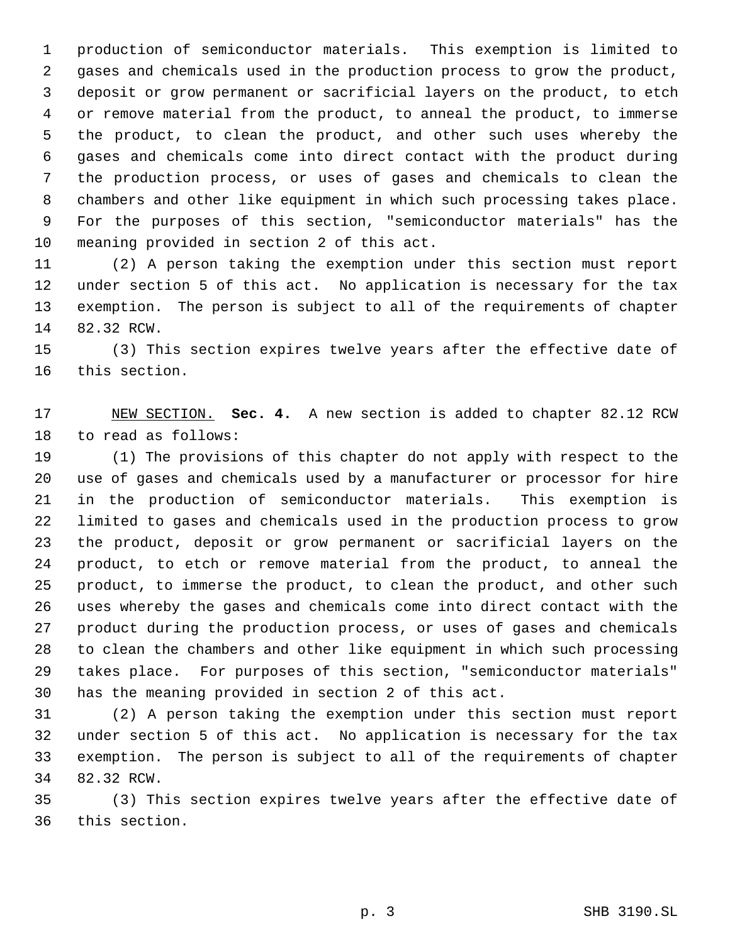production of semiconductor materials. This exemption is limited to gases and chemicals used in the production process to grow the product, deposit or grow permanent or sacrificial layers on the product, to etch or remove material from the product, to anneal the product, to immerse the product, to clean the product, and other such uses whereby the gases and chemicals come into direct contact with the product during the production process, or uses of gases and chemicals to clean the chambers and other like equipment in which such processing takes place. For the purposes of this section, "semiconductor materials" has the meaning provided in section 2 of this act.

 (2) A person taking the exemption under this section must report under section 5 of this act. No application is necessary for the tax exemption. The person is subject to all of the requirements of chapter 82.32 RCW.

 (3) This section expires twelve years after the effective date of this section.

 NEW SECTION. **Sec. 4.** A new section is added to chapter 82.12 RCW to read as follows:

 (1) The provisions of this chapter do not apply with respect to the use of gases and chemicals used by a manufacturer or processor for hire in the production of semiconductor materials. This exemption is limited to gases and chemicals used in the production process to grow the product, deposit or grow permanent or sacrificial layers on the product, to etch or remove material from the product, to anneal the product, to immerse the product, to clean the product, and other such uses whereby the gases and chemicals come into direct contact with the product during the production process, or uses of gases and chemicals to clean the chambers and other like equipment in which such processing takes place. For purposes of this section, "semiconductor materials" has the meaning provided in section 2 of this act.

 (2) A person taking the exemption under this section must report under section 5 of this act. No application is necessary for the tax exemption. The person is subject to all of the requirements of chapter 82.32 RCW.

 (3) This section expires twelve years after the effective date of this section.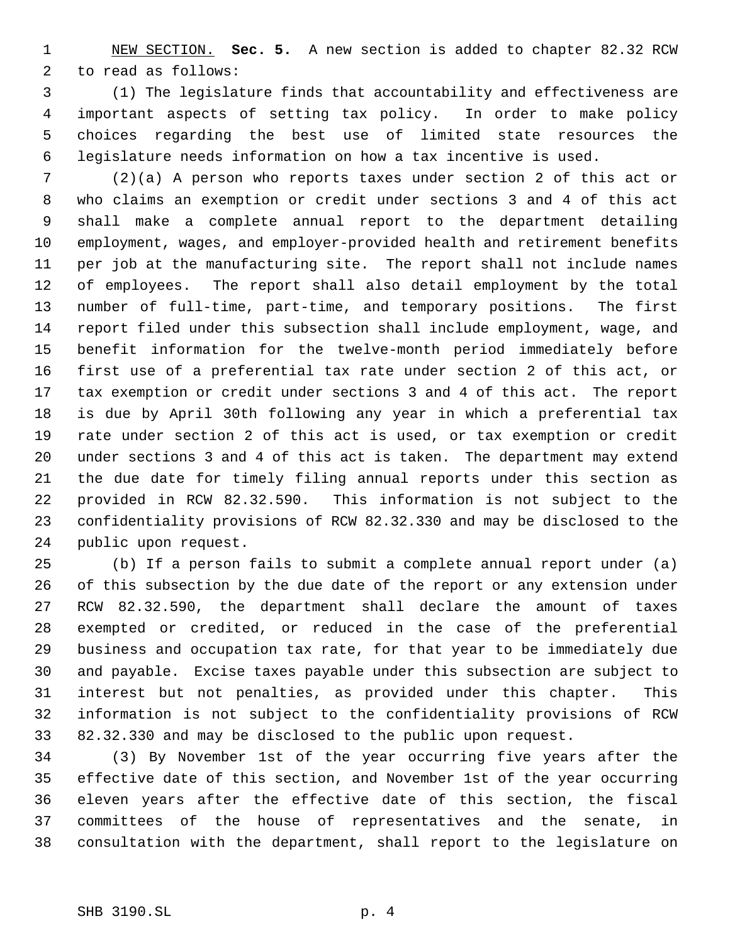NEW SECTION. **Sec. 5.** A new section is added to chapter 82.32 RCW to read as follows:

 (1) The legislature finds that accountability and effectiveness are important aspects of setting tax policy. In order to make policy choices regarding the best use of limited state resources the legislature needs information on how a tax incentive is used.

 (2)(a) A person who reports taxes under section 2 of this act or who claims an exemption or credit under sections 3 and 4 of this act shall make a complete annual report to the department detailing employment, wages, and employer-provided health and retirement benefits per job at the manufacturing site. The report shall not include names of employees. The report shall also detail employment by the total number of full-time, part-time, and temporary positions. The first report filed under this subsection shall include employment, wage, and benefit information for the twelve-month period immediately before first use of a preferential tax rate under section 2 of this act, or tax exemption or credit under sections 3 and 4 of this act. The report is due by April 30th following any year in which a preferential tax rate under section 2 of this act is used, or tax exemption or credit under sections 3 and 4 of this act is taken. The department may extend the due date for timely filing annual reports under this section as provided in RCW 82.32.590. This information is not subject to the confidentiality provisions of RCW 82.32.330 and may be disclosed to the public upon request.

 (b) If a person fails to submit a complete annual report under (a) of this subsection by the due date of the report or any extension under RCW 82.32.590, the department shall declare the amount of taxes exempted or credited, or reduced in the case of the preferential business and occupation tax rate, for that year to be immediately due and payable. Excise taxes payable under this subsection are subject to interest but not penalties, as provided under this chapter. This information is not subject to the confidentiality provisions of RCW 82.32.330 and may be disclosed to the public upon request.

 (3) By November 1st of the year occurring five years after the effective date of this section, and November 1st of the year occurring eleven years after the effective date of this section, the fiscal committees of the house of representatives and the senate, in consultation with the department, shall report to the legislature on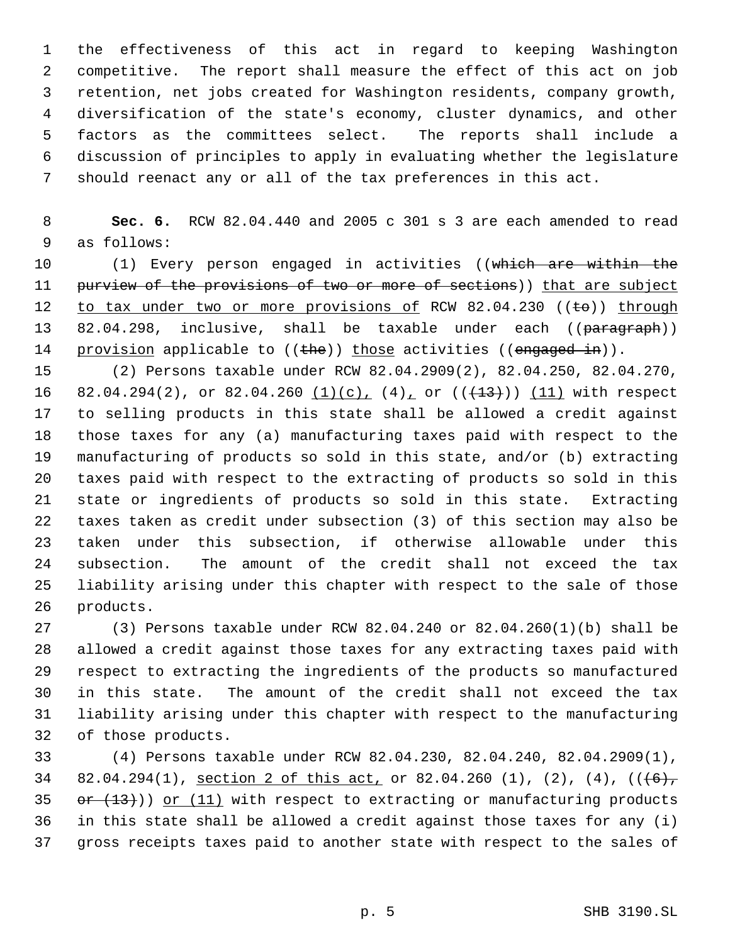the effectiveness of this act in regard to keeping Washington competitive. The report shall measure the effect of this act on job retention, net jobs created for Washington residents, company growth, diversification of the state's economy, cluster dynamics, and other factors as the committees select. The reports shall include a discussion of principles to apply in evaluating whether the legislature should reenact any or all of the tax preferences in this act.

 **Sec. 6.** RCW 82.04.440 and 2005 c 301 s 3 are each amended to read as follows:

 (1) Every person engaged in activities ((which are within the 11 purview of the provisions of two or more of sections)) that are subject 12 to tax under two or more provisions of RCW 82.04.230 ((to)) through 13 82.04.298, inclusive, shall be taxable under each ((paragraph)) 14 provision applicable to ((the)) those activities ((engaged in)).

 (2) Persons taxable under RCW 82.04.2909(2), 82.04.250, 82.04.270, 16 82.04.294(2), or 82.04.260  $(1)(c)$ ,  $(4)$  or  $((+13))$   $(11)$  with respect to selling products in this state shall be allowed a credit against those taxes for any (a) manufacturing taxes paid with respect to the manufacturing of products so sold in this state, and/or (b) extracting taxes paid with respect to the extracting of products so sold in this state or ingredients of products so sold in this state. Extracting taxes taken as credit under subsection (3) of this section may also be taken under this subsection, if otherwise allowable under this subsection. The amount of the credit shall not exceed the tax liability arising under this chapter with respect to the sale of those products.

 (3) Persons taxable under RCW 82.04.240 or 82.04.260(1)(b) shall be allowed a credit against those taxes for any extracting taxes paid with respect to extracting the ingredients of the products so manufactured in this state. The amount of the credit shall not exceed the tax liability arising under this chapter with respect to the manufacturing of those products.

 (4) Persons taxable under RCW 82.04.230, 82.04.240, 82.04.2909(1), 34 82.04.294(1), section 2 of this act, or 82.04.260 (1), (2), (4),  $((\frac{6}{7})$  $or (13))$  or (11) with respect to extracting or manufacturing products in this state shall be allowed a credit against those taxes for any (i) gross receipts taxes paid to another state with respect to the sales of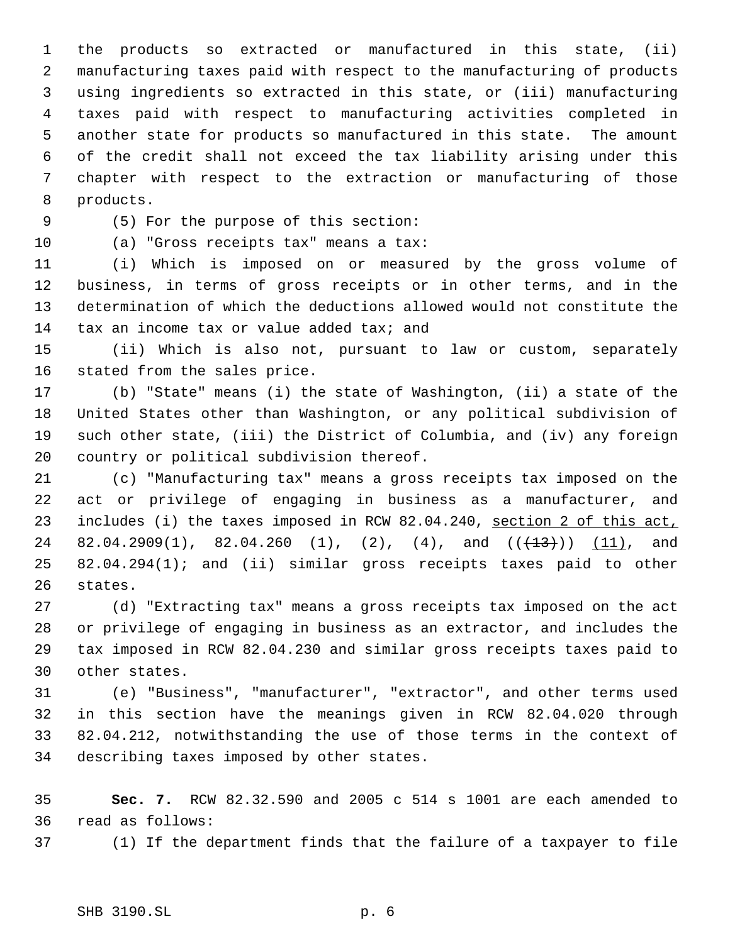the products so extracted or manufactured in this state, (ii) manufacturing taxes paid with respect to the manufacturing of products using ingredients so extracted in this state, or (iii) manufacturing taxes paid with respect to manufacturing activities completed in another state for products so manufactured in this state. The amount of the credit shall not exceed the tax liability arising under this chapter with respect to the extraction or manufacturing of those products.

(5) For the purpose of this section:

(a) "Gross receipts tax" means a tax:

 (i) Which is imposed on or measured by the gross volume of business, in terms of gross receipts or in other terms, and in the determination of which the deductions allowed would not constitute the 14 tax an income tax or value added tax; and

 (ii) Which is also not, pursuant to law or custom, separately stated from the sales price.

 (b) "State" means (i) the state of Washington, (ii) a state of the United States other than Washington, or any political subdivision of such other state, (iii) the District of Columbia, and (iv) any foreign country or political subdivision thereof.

 (c) "Manufacturing tax" means a gross receipts tax imposed on the act or privilege of engaging in business as a manufacturer, and 23 includes (i) the taxes imposed in RCW 82.04.240, section 2 of this act, 24 82.04.2909(1), 82.04.260 (1), (2), (4), and  $((+13))$   $(11)$ , and 82.04.294(1); and (ii) similar gross receipts taxes paid to other states.

 (d) "Extracting tax" means a gross receipts tax imposed on the act or privilege of engaging in business as an extractor, and includes the tax imposed in RCW 82.04.230 and similar gross receipts taxes paid to other states.

 (e) "Business", "manufacturer", "extractor", and other terms used in this section have the meanings given in RCW 82.04.020 through 82.04.212, notwithstanding the use of those terms in the context of describing taxes imposed by other states.

 **Sec. 7.** RCW 82.32.590 and 2005 c 514 s 1001 are each amended to read as follows:

(1) If the department finds that the failure of a taxpayer to file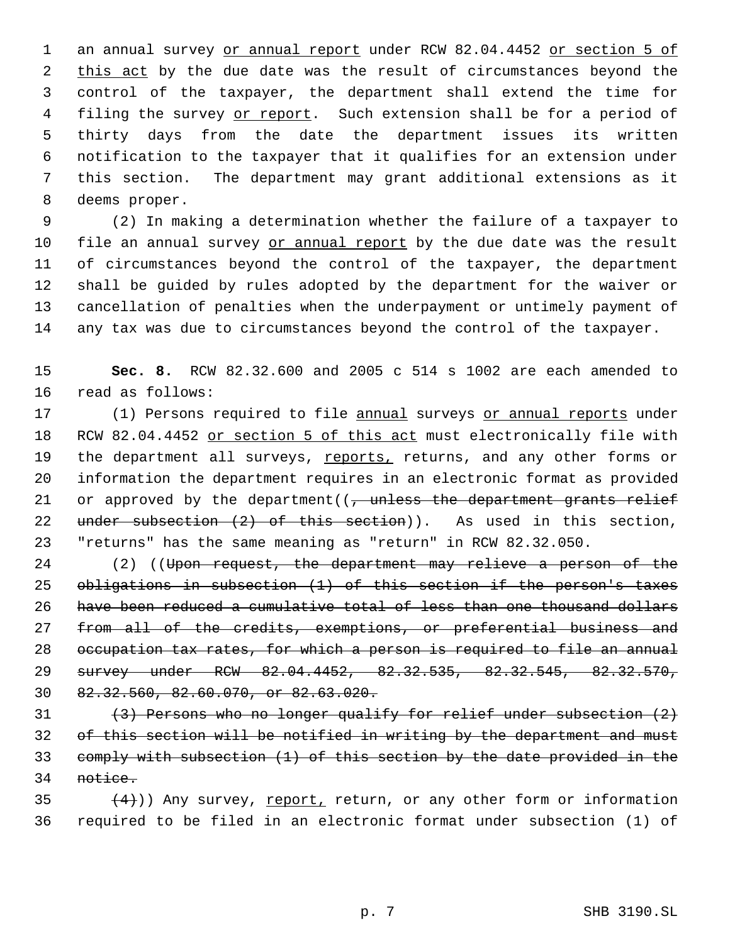1 an annual survey or annual report under RCW 82.04.4452 or section 5 of 2 this act by the due date was the result of circumstances beyond the control of the taxpayer, the department shall extend the time for 4 filing the survey or report. Such extension shall be for a period of thirty days from the date the department issues its written notification to the taxpayer that it qualifies for an extension under this section. The department may grant additional extensions as it deems proper.

 (2) In making a determination whether the failure of a taxpayer to 10 file an annual survey or annual report by the due date was the result of circumstances beyond the control of the taxpayer, the department shall be guided by rules adopted by the department for the waiver or cancellation of penalties when the underpayment or untimely payment of any tax was due to circumstances beyond the control of the taxpayer.

 **Sec. 8.** RCW 82.32.600 and 2005 c 514 s 1002 are each amended to read as follows:

17 (1) Persons required to file annual surveys or annual reports under 18 RCW 82.04.4452 or section 5 of this act must electronically file with 19 the department all surveys, reports, returns, and any other forms or information the department requires in an electronic format as provided 21 or approved by the department( $\sqrt{t}$  unless the department grants relief 22 under subsection  $(2)$  of this section)). As used in this section, "returns" has the same meaning as "return" in RCW 82.32.050.

 (2) ((Upon request, the department may relieve a person of the obligations in subsection (1) of this section if the person's taxes have been reduced a cumulative total of less than one thousand dollars 27 from all of the credits, exemptions, or preferential business and occupation tax rates, for which a person is required to file an annual survey under RCW 82.04.4452, 82.32.535, 82.32.545, 82.32.570, 82.32.560, 82.60.070, or 82.63.020.

 $(3)$  Persons who no longer qualify for relief under subsection  $(2)$  of this section will be notified in writing by the department and must comply with subsection (1) of this section by the date provided in the notice.

35  $(4)$ )) Any survey, report, return, or any other form or information required to be filed in an electronic format under subsection (1) of